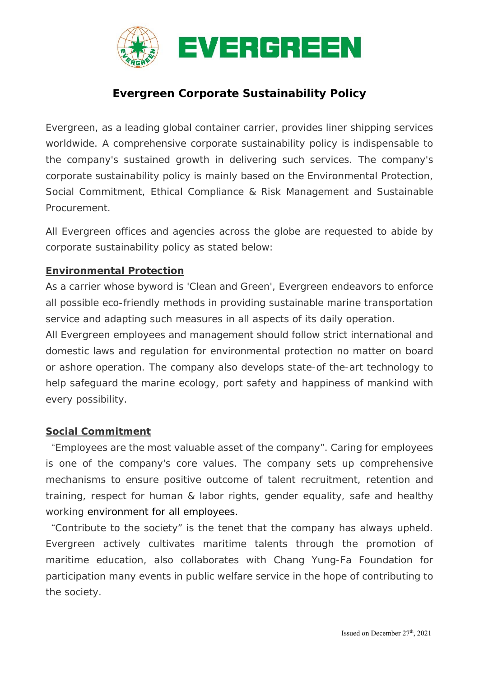

# **Evergreen Corporate Sustainability Policy**

Evergreen, as a leading global container carrier, provides liner shipping services worldwide. A comprehensive corporate sustainability policy is indispensable to the company's sustained growth in delivering such services. The company's corporate sustainability policy is mainly based on the Environmental Protection, Social Commitment, Ethical Compliance & Risk Management and Sustainable Procurement.

All Evergreen offices and agencies across the globe are requested to abide by corporate sustainability policy as stated below:

## **Environmental Protection**

As a carrier whose byword is 'Clean and Green', Evergreen endeavors to enforce all possible eco-friendly methods in providing sustainable marine transportation service and adapting such measures in all aspects of its daily operation.

All Evergreen employees and management should follow strict international and domestic laws and regulation for environmental protection no matter on board or ashore operation. The company also develops state-of the-art technology to help safeguard the marine ecology, port safety and happiness of mankind with every possibility.

#### **Social Commitment**

"Employees are the most valuable asset of the company". Caring for employees is one of the company's core values. The company sets up comprehensive mechanisms to ensure positive outcome of talent recruitment, retention and training, respect for human & labor rights, gender equality, safe and healthy working environment for all employees.

"Contribute to the society" is the tenet that the company has always upheld. Evergreen actively cultivates maritime talents through the promotion of maritime education, also collaborates with Chang Yung-Fa Foundation for participation many events in public welfare service in the hope of contributing to the society.